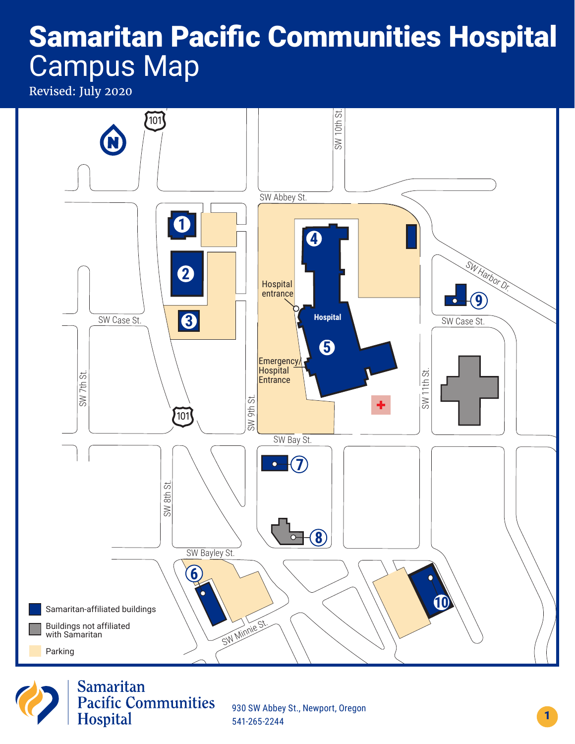# Samaritan Pacific Communities Hospital Campus Map

Revised: July 2020





930 SW Abbey St., Newport, Oregon 541-265-2244